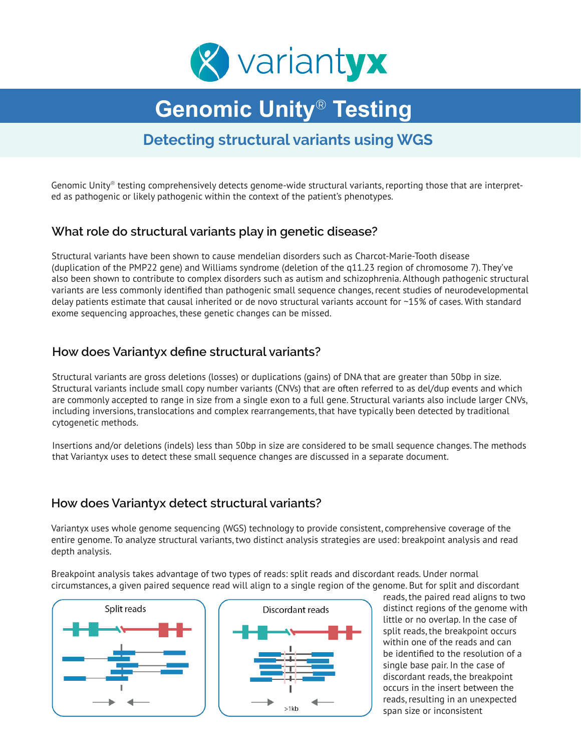

# **Genomic Unity**® **Testing**

# **Detecting structural variants using WGS**

Genomic Unity® testing comprehensively detects genome-wide structural variants, reporting those that are interpreted as pathogenic or likely pathogenic within the context of the patient's phenotypes.

### **What role do structural variants play in genetic disease?**

Structural variants have been shown to cause mendelian disorders such as Charcot-Marie-Tooth disease (duplication of the PMP22 gene) and Williams syndrome (deletion of the q11.23 region of chromosome 7). They've also been shown to contribute to complex disorders such as autism and schizophrenia. Although pathogenic structural variants are less commonly identified than pathogenic small sequence changes, recent studies of neurodevelopmental delay patients estimate that causal inherited or de novo structural variants account for ~15% of cases. With standard exome sequencing approaches, these genetic changes can be missed.

#### **How does Variantyx define structural variants?**

Structural variants are gross deletions (losses) or duplications (gains) of DNA that are greater than 50bp in size. Structural variants include small copy number variants (CNVs) that are often referred to as del/dup events and which are commonly accepted to range in size from a single exon to a full gene. Structural variants also include larger CNVs, including inversions, translocations and complex rearrangements, that have typically been detected by traditional cytogenetic methods.

Insertions and/or deletions (indels) less than 50bp in size are considered to be small sequence changes. The methods that Variantyx uses to detect these small sequence changes are discussed in a separate document.

#### **How does Variantyx detect structural variants?**

Variantyx uses whole genome sequencing (WGS) technology to provide consistent, comprehensive coverage of the entire genome. To analyze structural variants, two distinct analysis strategies are used: breakpoint analysis and read depth analysis.

Breakpoint analysis takes advantage of two types of reads: split reads and discordant reads. Under normal circumstances, a given paired sequence read will align to a single region of the genome. But for split and discordant





reads, the paired read aligns to two distinct regions of the genome with little or no overlap. In the case of split reads, the breakpoint occurs within one of the reads and can be identified to the resolution of a single base pair. In the case of discordant reads, the breakpoint occurs in the insert between the reads, resulting in an unexpected span size or inconsistent